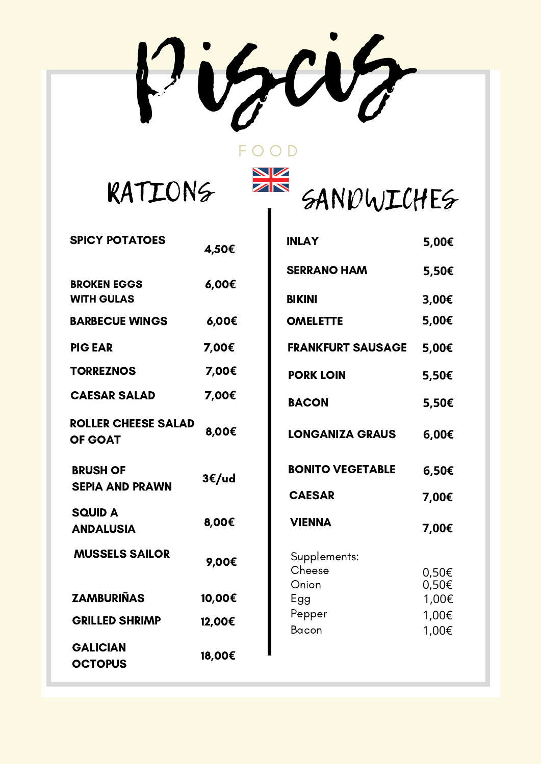Piscis

F O O D

 $\frac{N}{N}$ 

RATIONS

| <b>SPICY POTATOES</b>                        | 4,50€  |
|----------------------------------------------|--------|
| <b>BROKEN EGGS</b><br><b>WITH GULAS</b>      | 6,00€  |
| <b>BARBECUE WINGS</b>                        | 6,00€  |
| <b>PIG EAR</b>                               | 7,00€  |
| <b>TORREZNOS</b>                             | 7,00€  |
| <b>CAESAR SALAD</b>                          | 7,00€  |
| <b>ROLLER CHEESE SALAD</b><br><b>OF GOAT</b> | 8,00€  |
| <b>BRUSH OF</b><br><b>SEPIA AND PRAWN</b>    | 3€/ud  |
| <b>SQUID A</b><br><b>ANDALUSIA</b>           | 8,00€  |
| <b>MUSSELS SAILOR</b>                        | 9,00€  |
| <b>ZAMBURIÑAS</b>                            | 10,00€ |
| <b>GRILLED SHRIMP</b>                        | 12,00€ |
| <b>GALICIAN</b><br><b>OCTOPUS</b>            | 18,00€ |

| <b>INLAY</b>             | 5,00€          |
|--------------------------|----------------|
| <b>SERRANO HAM</b>       | 5,50€          |
| <b>BIKINI</b>            | 3,00€          |
| <b>OMELETTE</b>          | 5,00€          |
| <b>FRANKFURT SAUSAGE</b> | 5,00€          |
| <b>PORK LOIN</b>         | 5,50€          |
| <b>BACON</b>             | 5,50€          |
| <b>LONGANIZA GRAUS</b>   | 6,00€          |
| <b>BONITO VEGETABLE</b>  | 6,50€          |
| <b>CAESAR</b>            | 7,00€          |
| <b>VIENNA</b>            | 7,00€          |
| Supplements:             |                |
| Cheese                   | 0,50€          |
| Onion                    | 0,50€<br>1,00€ |
| Egg<br>Pepper            | 1,00€          |
| <b>Bacon</b>             | 1,00€          |
|                          |                |

SANDWICHES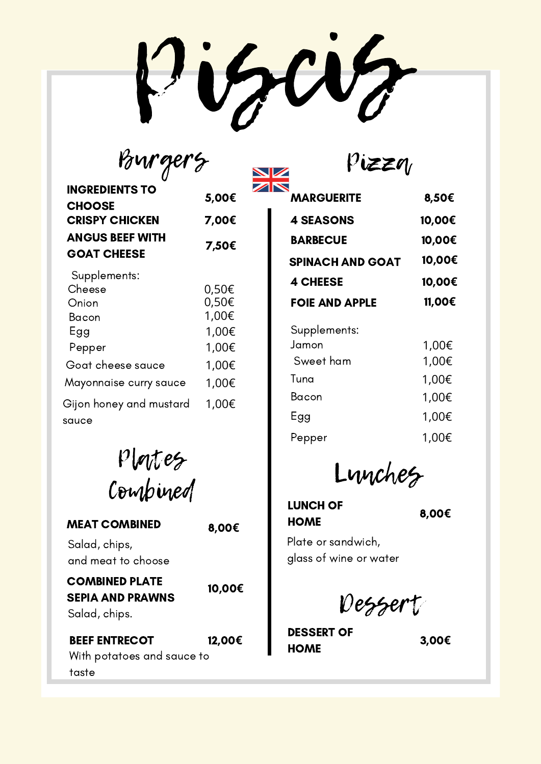r Wa

V

| Pourge                                                                         |                                                    |
|--------------------------------------------------------------------------------|----------------------------------------------------|
| <b>INGREDIENTS TO</b><br><b>CHOOSE</b>                                         | 5,00€                                              |
| <b>CRISPY CHICKEN</b>                                                          | 7,00€                                              |
| <b>ANGUS BEEF WITH</b><br><b>GOAT CHEESE</b>                                   | 7,50€                                              |
| Supplements:<br>Cheese<br>Onion<br>Bacon<br>Egg<br>Pepper<br>Goat cheese sauce | 0,50€<br>0,50€<br>1,00€<br>1,00€<br>1,00€<br>1,00€ |
| Mayonnaise curry sauce                                                         | 1,00€                                              |
| Gijon honey and mustard<br>sauce                                               | 1,00€                                              |



| <b>MEAT COMBINED</b>                                              | 8,00€  | <b>HOME</b>                                  | し,ひひと |
|-------------------------------------------------------------------|--------|----------------------------------------------|-------|
| Salad, chips,<br>and meat to choose                               |        | Plate or sandwich,<br>glass of wine or water |       |
| <b>COMBINED PLATE</b><br><b>SEPIA AND PRAWNS</b><br>Salad, chips. | 10,00€ | Dessert                                      |       |
| <b>BEEF ENTRECOT</b><br>With potatoes and sauce to                | 12,00€ | <b>DESSERT OF</b><br><b>HOME</b>             | 3,00€ |

taste

| ZN                      |        |
|-------------------------|--------|
| <b>MARGUERITE</b>       | 8,50€  |
| <b>4 SEASONS</b>        | 10,00€ |
| <b>BARBECUE</b>         | 10,00€ |
| <b>SPINACH AND GOAT</b> | 10,00€ |
| <b>4 CHEESE</b>         | 10,00€ |
| <b>FOIE AND APPLE</b>   | 11,00€ |
| Supplements:            |        |
| Jamon                   | 1,00€  |
| Sweet ham               | 1,00€  |
| Tuna                    | 1,00€  |
| Bacon                   | 1,00€  |
| Egg                     | 1,00€  |
| Pepper                  | 1,00€  |
|                         |        |

Pizza

Lunches

LUNCH OF **HOME** 

8,00**€**

Dessert